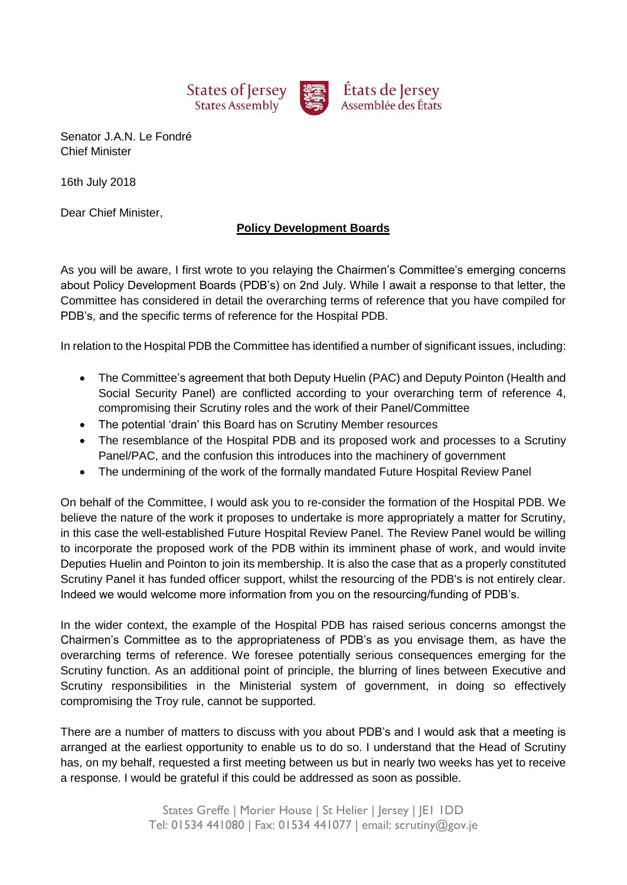

Senator J.A.N. Le Fondré Chief Minister

16th July 2018

Dear Chief Minister,

## **Policy Development Boards**

As you will be aware, I first wrote to you relaying the Chairmen's Committee's emerging concerns about Policy Development Boards (PDB's) on 2nd July. While I await a response to that letter, the Committee has considered in detail the overarching terms of reference that you have compiled for PDB's, and the specific terms of reference for the Hospital PDB.

In relation to the Hospital PDB the Committee has identified a number of significant issues, including:

- The Committee's agreement that both Deputy Huelin (PAC) and Deputy Pointon (Health and Social Security Panel) are conflicted according to your overarching term of reference 4, compromising their Scrutiny roles and the work of their Panel/Committee
- The potential 'drain' this Board has on Scrutiny Member resources
- The resemblance of the Hospital PDB and its proposed work and processes to a Scrutiny Panel/PAC, and the confusion this introduces into the machinery of government
- The undermining of the work of the formally mandated Future Hospital Review Panel

On behalf of the Committee, I would ask you to re-consider the formation of the Hospital PDB. We believe the nature of the work it proposes to undertake is more appropriately a matter for Scrutiny, in this case the well-established Future Hospital Review Panel. The Review Panel would be willing to incorporate the proposed work of the PDB within its imminent phase of work, and would invite Deputies Huelin and Pointon to join its membership. It is also the case that as a properly constituted Scrutiny Panel it has funded officer support, whilst the resourcing of the PDB's is not entirely clear. Indeed we would welcome more information from you on the resourcing/funding of PDB's.

In the wider context, the example of the Hospital PDB has raised serious concerns amongst the Chairmen's Committee as to the appropriateness of PDB's as you envisage them, as have the overarching terms of reference. We foresee potentially serious consequences emerging for the Scrutiny function. As an additional point of principle, the blurring of lines between Executive and Scrutiny responsibilities in the Ministerial system of government, in doing so effectively compromising the Troy rule, cannot be supported.

There are a number of matters to discuss with you about PDB's and I would ask that a meeting is arranged at the earliest opportunity to enable us to do so. I understand that the Head of Scrutiny has, on my behalf, requested a first meeting between us but in nearly two weeks has yet to receive a response. I would be grateful if this could be addressed as soon as possible.